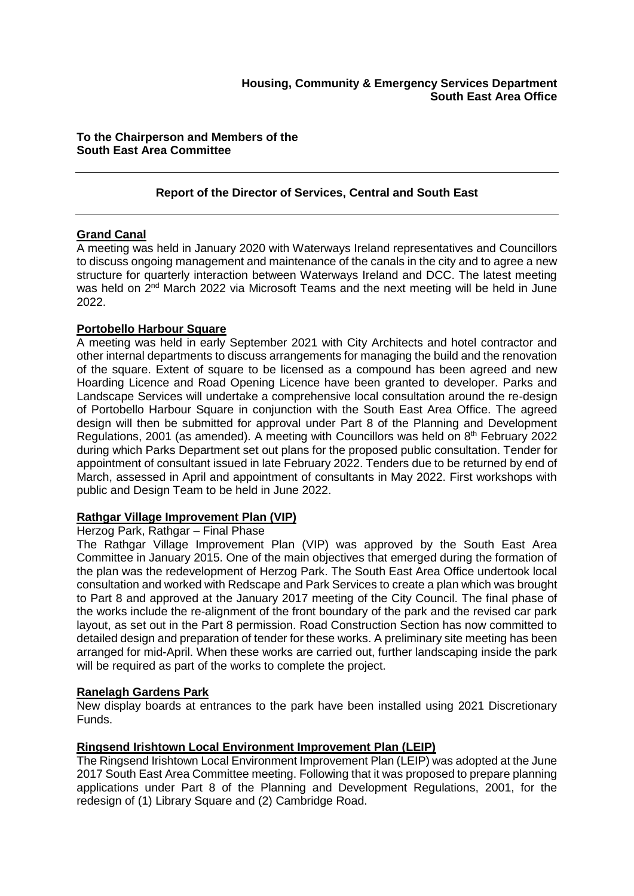## **To the Chairperson and Members of the South East Area Committee**

## **Report of the Director of Services, Central and South East**

## **Grand Canal**

A meeting was held in January 2020 with Waterways Ireland representatives and Councillors to discuss ongoing management and maintenance of the canals in the city and to agree a new structure for quarterly interaction between Waterways Ireland and DCC. The latest meeting was held on 2<sup>nd</sup> March 2022 via Microsoft Teams and the next meeting will be held in June 2022.

## **Portobello Harbour Square**

A meeting was held in early September 2021 with City Architects and hotel contractor and other internal departments to discuss arrangements for managing the build and the renovation of the square. Extent of square to be licensed as a compound has been agreed and new Hoarding Licence and Road Opening Licence have been granted to developer. Parks and Landscape Services will undertake a comprehensive local consultation around the re-design of Portobello Harbour Square in conjunction with the South East Area Office. The agreed design will then be submitted for approval under Part 8 of the Planning and Development Regulations, 2001 (as amended). A meeting with Councillors was held on 8<sup>th</sup> February 2022 during which Parks Department set out plans for the proposed public consultation. Tender for appointment of consultant issued in late February 2022. Tenders due to be returned by end of March, assessed in April and appointment of consultants in May 2022. First workshops with public and Design Team to be held in June 2022.

## **Rathgar Village Improvement Plan (VIP)**

#### Herzog Park, Rathgar – Final Phase

The Rathgar Village Improvement Plan (VIP) was approved by the South East Area Committee in January 2015. One of the main objectives that emerged during the formation of the plan was the redevelopment of Herzog Park. The South East Area Office undertook local consultation and worked with Redscape and Park Services to create a plan which was brought to Part 8 and approved at the January 2017 meeting of the City Council. The final phase of the works include the re-alignment of the front boundary of the park and the revised car park layout, as set out in the Part 8 permission. Road Construction Section has now committed to detailed design and preparation of tender for these works. A preliminary site meeting has been arranged for mid-April. When these works are carried out, further landscaping inside the park will be required as part of the works to complete the project.

## **Ranelagh Gardens Park**

New display boards at entrances to the park have been installed using 2021 Discretionary Funds.

## **Ringsend Irishtown Local Environment Improvement Plan (LEIP)**

The Ringsend Irishtown Local Environment Improvement Plan (LEIP) was adopted at the June 2017 South East Area Committee meeting. Following that it was proposed to prepare planning applications under Part 8 of the Planning and Development Regulations, 2001, for the redesign of (1) Library Square and (2) Cambridge Road.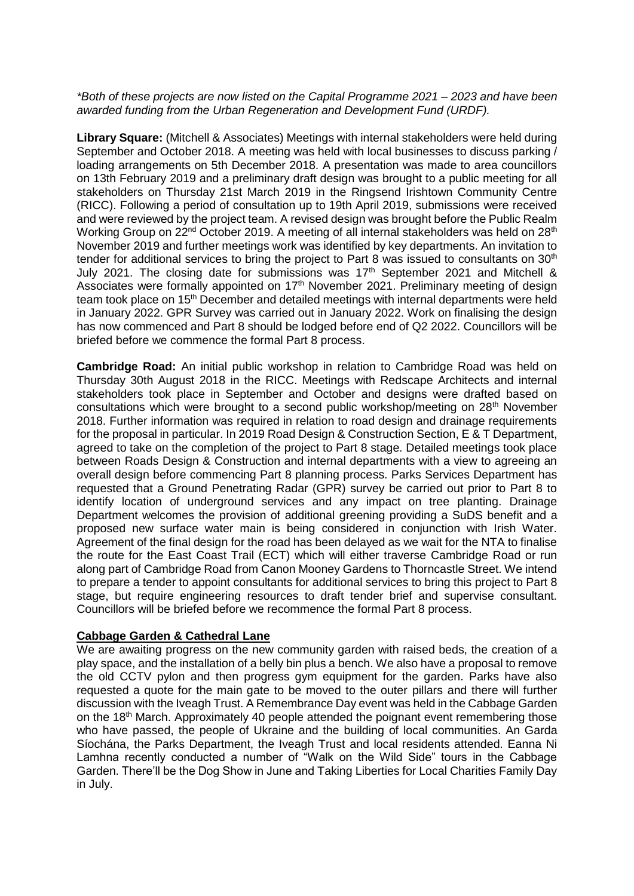#### *\*Both of these projects are now listed on the Capital Programme 2021 – 2023 and have been awarded funding from the Urban Regeneration and Development Fund (URDF).*

**Library Square:** (Mitchell & Associates) Meetings with internal stakeholders were held during September and October 2018. A meeting was held with local businesses to discuss parking / loading arrangements on 5th December 2018. A presentation was made to area councillors on 13th February 2019 and a preliminary draft design was brought to a public meeting for all stakeholders on Thursday 21st March 2019 in the Ringsend Irishtown Community Centre (RICC). Following a period of consultation up to 19th April 2019, submissions were received and were reviewed by the project team. A revised design was brought before the Public Realm Working Group on 22<sup>nd</sup> October 2019. A meeting of all internal stakeholders was held on 28<sup>th</sup> November 2019 and further meetings work was identified by key departments. An invitation to tender for additional services to bring the project to Part 8 was issued to consultants on  $30<sup>th</sup>$ July 2021. The closing date for submissions was  $17<sup>th</sup>$  September 2021 and Mitchell & Associates were formally appointed on 17<sup>th</sup> November 2021. Preliminary meeting of design team took place on 15<sup>th</sup> December and detailed meetings with internal departments were held in January 2022. GPR Survey was carried out in January 2022. Work on finalising the design has now commenced and Part 8 should be lodged before end of Q2 2022. Councillors will be briefed before we commence the formal Part 8 process.

**Cambridge Road:** An initial public workshop in relation to Cambridge Road was held on Thursday 30th August 2018 in the RICC. Meetings with Redscape Architects and internal stakeholders took place in September and October and designs were drafted based on consultations which were brought to a second public workshop/meeting on 28<sup>th</sup> November 2018. Further information was required in relation to road design and drainage requirements for the proposal in particular. In 2019 Road Design & Construction Section, E & T Department, agreed to take on the completion of the project to Part 8 stage. Detailed meetings took place between Roads Design & Construction and internal departments with a view to agreeing an overall design before commencing Part 8 planning process. Parks Services Department has requested that a Ground Penetrating Radar (GPR) survey be carried out prior to Part 8 to identify location of underground services and any impact on tree planting. Drainage Department welcomes the provision of additional greening providing a SuDS benefit and a proposed new surface water main is being considered in conjunction with Irish Water. Agreement of the final design for the road has been delayed as we wait for the NTA to finalise the route for the East Coast Trail (ECT) which will either traverse Cambridge Road or run along part of Cambridge Road from Canon Mooney Gardens to Thorncastle Street. We intend to prepare a tender to appoint consultants for additional services to bring this project to Part 8 stage, but require engineering resources to draft tender brief and supervise consultant. Councillors will be briefed before we recommence the formal Part 8 process.

## **Cabbage Garden & Cathedral Lane**

We are awaiting progress on the new community garden with raised beds, the creation of a play space, and the installation of a belly bin plus a bench. We also have a proposal to remove the old CCTV pylon and then progress gym equipment for the garden. Parks have also requested a quote for the main gate to be moved to the outer pillars and there will further discussion with the Iveagh Trust. A Remembrance Day event was held in the Cabbage Garden on the 18<sup>th</sup> March. Approximately 40 people attended the poignant event remembering those who have passed, the people of Ukraine and the building of local communities. An Garda Síochána, the Parks Department, the Iveagh Trust and local residents attended. Eanna Ni Lamhna recently conducted a number of "Walk on the Wild Side" tours in the Cabbage Garden. There'll be the Dog Show in June and Taking Liberties for Local Charities Family Day in July.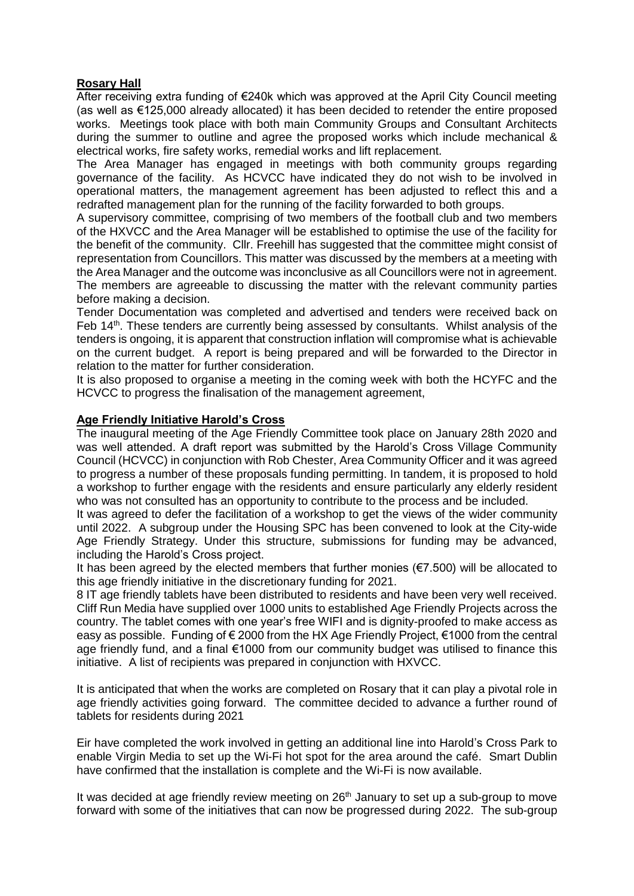## **Rosary Hall**

After receiving extra funding of €240k which was approved at the April City Council meeting (as well as €125,000 already allocated) it has been decided to retender the entire proposed works. Meetings took place with both main Community Groups and Consultant Architects during the summer to outline and agree the proposed works which include mechanical & electrical works, fire safety works, remedial works and lift replacement.

The Area Manager has engaged in meetings with both community groups regarding governance of the facility. As HCVCC have indicated they do not wish to be involved in operational matters, the management agreement has been adjusted to reflect this and a redrafted management plan for the running of the facility forwarded to both groups.

A supervisory committee, comprising of two members of the football club and two members of the HXVCC and the Area Manager will be established to optimise the use of the facility for the benefit of the community. Cllr. Freehill has suggested that the committee might consist of representation from Councillors. This matter was discussed by the members at a meeting with the Area Manager and the outcome was inconclusive as all Councillors were not in agreement. The members are agreeable to discussing the matter with the relevant community parties before making a decision.

Tender Documentation was completed and advertised and tenders were received back on Feb 14th. These tenders are currently being assessed by consultants. Whilst analysis of the tenders is ongoing, it is apparent that construction inflation will compromise what is achievable on the current budget. A report is being prepared and will be forwarded to the Director in relation to the matter for further consideration.

It is also proposed to organise a meeting in the coming week with both the HCYFC and the HCVCC to progress the finalisation of the management agreement,

## **Age Friendly Initiative Harold's Cross**

The inaugural meeting of the Age Friendly Committee took place on January 28th 2020 and was well attended. A draft report was submitted by the Harold's Cross Village Community Council (HCVCC) in conjunction with Rob Chester, Area Community Officer and it was agreed to progress a number of these proposals funding permitting. In tandem, it is proposed to hold a workshop to further engage with the residents and ensure particularly any elderly resident who was not consulted has an opportunity to contribute to the process and be included.

It was agreed to defer the facilitation of a workshop to get the views of the wider community until 2022. A subgroup under the Housing SPC has been convened to look at the City-wide Age Friendly Strategy. Under this structure, submissions for funding may be advanced, including the Harold's Cross project.

It has been agreed by the elected members that further monies  $(\epsilon 7.500)$  will be allocated to this age friendly initiative in the discretionary funding for 2021.

8 IT age friendly tablets have been distributed to residents and have been very well received. Cliff Run Media have supplied over 1000 units to established Age Friendly Projects across the country. The tablet comes with one year's free WIFI and is dignity-proofed to make access as easy as possible. Funding of € 2000 from the HX Age Friendly Project, €1000 from the central age friendly fund, and a final €1000 from our community budget was utilised to finance this initiative. A list of recipients was prepared in conjunction with HXVCC.

It is anticipated that when the works are completed on Rosary that it can play a pivotal role in age friendly activities going forward. The committee decided to advance a further round of tablets for residents during 2021

Eir have completed the work involved in getting an additional line into Harold's Cross Park to enable Virgin Media to set up the Wi-Fi hot spot for the area around the café. Smart Dublin have confirmed that the installation is complete and the Wi-Fi is now available.

It was decided at age friendly review meeting on  $26<sup>th</sup>$  January to set up a sub-group to move forward with some of the initiatives that can now be progressed during 2022. The sub-group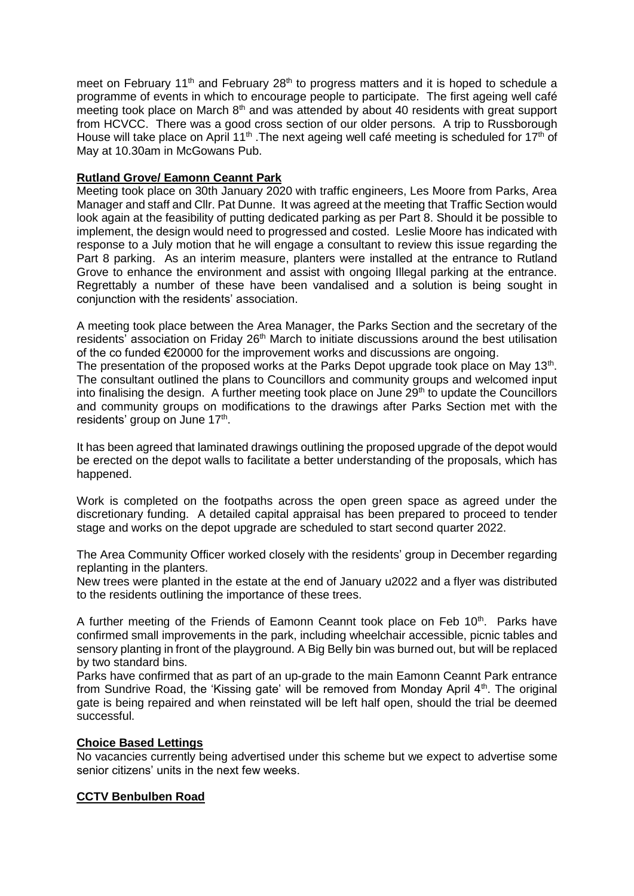meet on February 11<sup>th</sup> and February 28<sup>th</sup> to progress matters and it is hoped to schedule a programme of events in which to encourage people to participate. The first ageing well café meeting took place on March  $8<sup>th</sup>$  and was attended by about 40 residents with great support from HCVCC. There was a good cross section of our older persons. A trip to Russborough House will take place on April 11<sup>th</sup>. The next ageing well cafe meeting is scheduled for 17<sup>th</sup> of May at 10.30am in McGowans Pub.

## **Rutland Grove/ Eamonn Ceannt Park**

Meeting took place on 30th January 2020 with traffic engineers, Les Moore from Parks, Area Manager and staff and Cllr. Pat Dunne. It was agreed at the meeting that Traffic Section would look again at the feasibility of putting dedicated parking as per Part 8. Should it be possible to implement, the design would need to progressed and costed. Leslie Moore has indicated with response to a July motion that he will engage a consultant to review this issue regarding the Part 8 parking. As an interim measure, planters were installed at the entrance to Rutland Grove to enhance the environment and assist with ongoing Illegal parking at the entrance. Regrettably a number of these have been vandalised and a solution is being sought in conjunction with the residents' association.

A meeting took place between the Area Manager, the Parks Section and the secretary of the residents' association on Friday 26<sup>th</sup> March to initiate discussions around the best utilisation of the co funded €20000 for the improvement works and discussions are ongoing.

The presentation of the proposed works at the Parks Depot upgrade took place on May 13<sup>th</sup>. The consultant outlined the plans to Councillors and community groups and welcomed input into finalising the design. A further meeting took place on June  $29<sup>th</sup>$  to update the Councillors and community groups on modifications to the drawings after Parks Section met with the residents' group on June 17<sup>th</sup>.

It has been agreed that laminated drawings outlining the proposed upgrade of the depot would be erected on the depot walls to facilitate a better understanding of the proposals, which has happened.

Work is completed on the footpaths across the open green space as agreed under the discretionary funding. A detailed capital appraisal has been prepared to proceed to tender stage and works on the depot upgrade are scheduled to start second quarter 2022.

The Area Community Officer worked closely with the residents' group in December regarding replanting in the planters.

New trees were planted in the estate at the end of January u2022 and a flyer was distributed to the residents outlining the importance of these trees.

A further meeting of the Friends of Eamonn Ceannt took place on Feb 10<sup>th</sup>. Parks have confirmed small improvements in the park, including wheelchair accessible, picnic tables and sensory planting in front of the playground. A Big Belly bin was burned out, but will be replaced by two standard bins.

Parks have confirmed that as part of an up-grade to the main Eamonn Ceannt Park entrance from Sundrive Road, the 'Kissing gate' will be removed from Monday April  $4<sup>th</sup>$ . The original gate is being repaired and when reinstated will be left half open, should the trial be deemed successful.

## **Choice Based Lettings**

No vacancies currently being advertised under this scheme but we expect to advertise some senior citizens' units in the next few weeks.

## **CCTV Benbulben Road**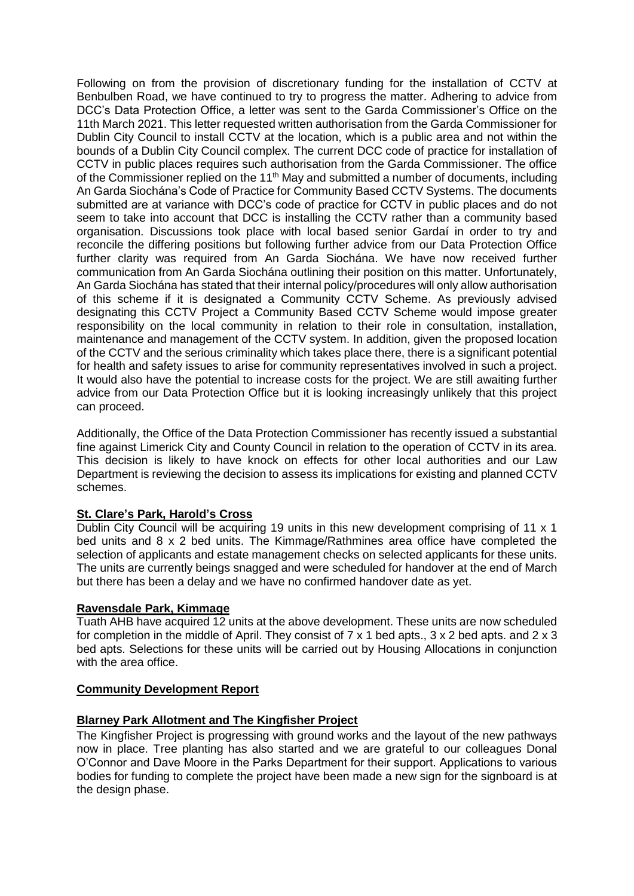Following on from the provision of discretionary funding for the installation of CCTV at Benbulben Road, we have continued to try to progress the matter. Adhering to advice from DCC's Data Protection Office, a letter was sent to the Garda Commissioner's Office on the 11th March 2021. This letter requested written authorisation from the Garda Commissioner for Dublin City Council to install CCTV at the location, which is a public area and not within the bounds of a Dublin City Council complex. The current DCC code of practice for installation of CCTV in public places requires such authorisation from the Garda Commissioner. The office of the Commissioner replied on the 11<sup>th</sup> May and submitted a number of documents, including An Garda Siochána's Code of Practice for Community Based CCTV Systems. The documents submitted are at variance with DCC's code of practice for CCTV in public places and do not seem to take into account that DCC is installing the CCTV rather than a community based organisation. Discussions took place with local based senior Gardaí in order to try and reconcile the differing positions but following further advice from our Data Protection Office further clarity was required from An Garda Siochána. We have now received further communication from An Garda Siochána outlining their position on this matter. Unfortunately, An Garda Siochána has stated that their internal policy/procedures will only allow authorisation of this scheme if it is designated a Community CCTV Scheme. As previously advised designating this CCTV Project a Community Based CCTV Scheme would impose greater responsibility on the local community in relation to their role in consultation, installation, maintenance and management of the CCTV system. In addition, given the proposed location of the CCTV and the serious criminality which takes place there, there is a significant potential for health and safety issues to arise for community representatives involved in such a project. It would also have the potential to increase costs for the project. We are still awaiting further advice from our Data Protection Office but it is looking increasingly unlikely that this project can proceed.

Additionally, the Office of the Data Protection Commissioner has recently issued a substantial fine against Limerick City and County Council in relation to the operation of CCTV in its area. This decision is likely to have knock on effects for other local authorities and our Law Department is reviewing the decision to assess its implications for existing and planned CCTV schemes.

## **St. Clare's Park, Harold's Cross**

Dublin City Council will be acquiring 19 units in this new development comprising of 11 x 1 bed units and 8 x 2 bed units. The Kimmage/Rathmines area office have completed the selection of applicants and estate management checks on selected applicants for these units. The units are currently beings snagged and were scheduled for handover at the end of March but there has been a delay and we have no confirmed handover date as yet.

#### **Ravensdale Park, Kimmage**

Tuath AHB have acquired 12 units at the above development. These units are now scheduled for completion in the middle of April. They consist of  $7 \times 1$  bed apts.,  $3 \times 2$  bed apts. and  $2 \times 3$ bed apts. Selections for these units will be carried out by Housing Allocations in conjunction with the area office.

## **Community Development Report**

#### **Blarney Park Allotment and The Kingfisher Project**

The Kingfisher Project is progressing with ground works and the layout of the new pathways now in place. Tree planting has also started and we are grateful to our colleagues Donal O'Connor and Dave Moore in the Parks Department for their support. Applications to various bodies for funding to complete the project have been made a new sign for the signboard is at the design phase.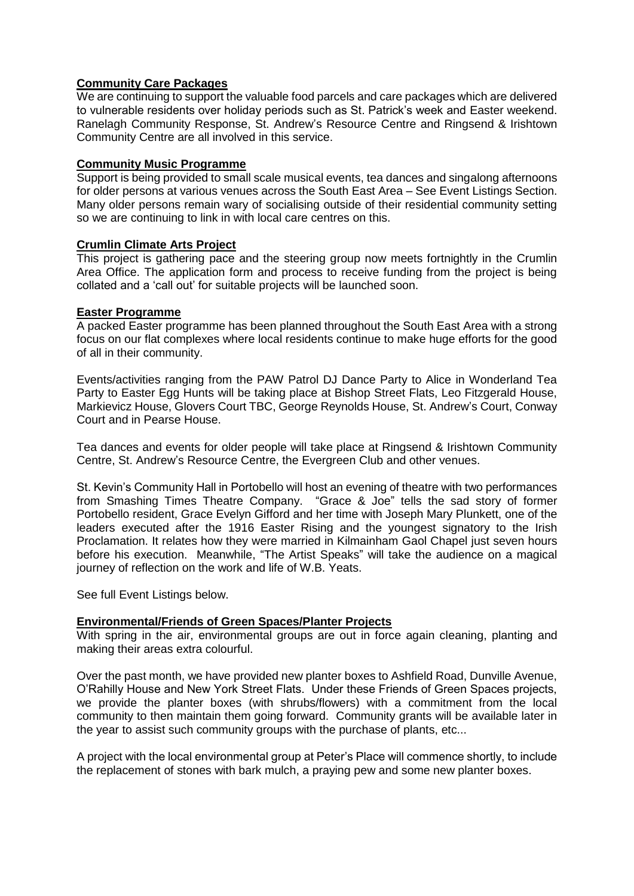## **Community Care Packages**

We are continuing to support the valuable food parcels and care packages which are delivered to vulnerable residents over holiday periods such as St. Patrick's week and Easter weekend. Ranelagh Community Response, St. Andrew's Resource Centre and Ringsend & Irishtown Community Centre are all involved in this service.

## **Community Music Programme**

Support is being provided to small scale musical events, tea dances and singalong afternoons for older persons at various venues across the South East Area – See Event Listings Section. Many older persons remain wary of socialising outside of their residential community setting so we are continuing to link in with local care centres on this.

#### **Crumlin Climate Arts Project**

This project is gathering pace and the steering group now meets fortnightly in the Crumlin Area Office. The application form and process to receive funding from the project is being collated and a 'call out' for suitable projects will be launched soon.

## **Easter Programme**

A packed Easter programme has been planned throughout the South East Area with a strong focus on our flat complexes where local residents continue to make huge efforts for the good of all in their community.

Events/activities ranging from the PAW Patrol DJ Dance Party to Alice in Wonderland Tea Party to Easter Egg Hunts will be taking place at Bishop Street Flats, Leo Fitzgerald House, Markievicz House, Glovers Court TBC, George Reynolds House, St. Andrew's Court, Conway Court and in Pearse House.

Tea dances and events for older people will take place at Ringsend & Irishtown Community Centre, St. Andrew's Resource Centre, the Evergreen Club and other venues.

St. Kevin's Community Hall in Portobello will host an evening of theatre with two performances from Smashing Times Theatre Company. "Grace & Joe" tells the sad story of former Portobello resident, Grace Evelyn Gifford and her time with Joseph Mary Plunkett, one of the leaders executed after the 1916 Easter Rising and the youngest signatory to the Irish Proclamation. It relates how they were married in Kilmainham Gaol Chapel just seven hours before his execution. Meanwhile, "The Artist Speaks" will take the audience on a magical journey of reflection on the work and life of W.B. Yeats.

See full Event Listings below.

## **Environmental/Friends of Green Spaces/Planter Projects**

With spring in the air, environmental groups are out in force again cleaning, planting and making their areas extra colourful.

Over the past month, we have provided new planter boxes to Ashfield Road, Dunville Avenue, O'Rahilly House and New York Street Flats. Under these Friends of Green Spaces projects, we provide the planter boxes (with shrubs/flowers) with a commitment from the local community to then maintain them going forward. Community grants will be available later in the year to assist such community groups with the purchase of plants, etc...

A project with the local environmental group at Peter's Place will commence shortly, to include the replacement of stones with bark mulch, a praying pew and some new planter boxes.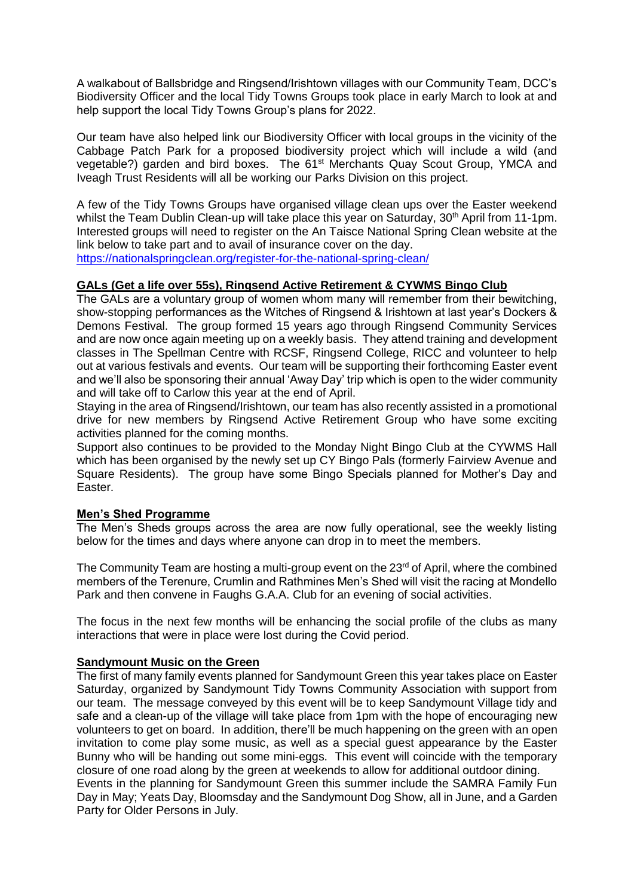A walkabout of Ballsbridge and Ringsend/Irishtown villages with our Community Team, DCC's Biodiversity Officer and the local Tidy Towns Groups took place in early March to look at and help support the local Tidy Towns Group's plans for 2022.

Our team have also helped link our Biodiversity Officer with local groups in the vicinity of the Cabbage Patch Park for a proposed biodiversity project which will include a wild (and vegetable?) garden and bird boxes. The 61<sup>st</sup> Merchants Quay Scout Group, YMCA and Iveagh Trust Residents will all be working our Parks Division on this project.

A few of the Tidy Towns Groups have organised village clean ups over the Easter weekend whilst the Team Dublin Clean-up will take place this year on Saturday, 30<sup>th</sup> April from 11-1pm. Interested groups will need to register on the An Taisce National Spring Clean website at the link below to take part and to avail of insurance cover on the day. <https://nationalspringclean.org/register-for-the-national-spring-clean/>

#### **GALs (Get a life over 55s), Ringsend Active Retirement & CYWMS Bingo Club**

The GALs are a voluntary group of women whom many will remember from their bewitching, show-stopping performances as the Witches of Ringsend & Irishtown at last year's Dockers & Demons Festival. The group formed 15 years ago through Ringsend Community Services and are now once again meeting up on a weekly basis. They attend training and development classes in The Spellman Centre with RCSF, Ringsend College, RICC and volunteer to help out at various festivals and events. Our team will be supporting their forthcoming Easter event and we'll also be sponsoring their annual 'Away Day' trip which is open to the wider community and will take off to Carlow this year at the end of April.

Staying in the area of Ringsend/Irishtown, our team has also recently assisted in a promotional drive for new members by Ringsend Active Retirement Group who have some exciting activities planned for the coming months.

Support also continues to be provided to the Monday Night Bingo Club at the CYWMS Hall which has been organised by the newly set up CY Bingo Pals (formerly Fairview Avenue and Square Residents). The group have some Bingo Specials planned for Mother's Day and Easter.

## **Men's Shed Programme**

The Men's Sheds groups across the area are now fully operational, see the weekly listing below for the times and days where anyone can drop in to meet the members.

The Community Team are hosting a multi-group event on the  $23<sup>rd</sup>$  of April, where the combined members of the Terenure, Crumlin and Rathmines Men's Shed will visit the racing at Mondello Park and then convene in Faughs G.A.A. Club for an evening of social activities.

The focus in the next few months will be enhancing the social profile of the clubs as many interactions that were in place were lost during the Covid period.

## **Sandymount Music on the Green**

The first of many family events planned for Sandymount Green this year takes place on Easter Saturday, organized by Sandymount Tidy Towns Community Association with support from our team. The message conveyed by this event will be to keep Sandymount Village tidy and safe and a clean-up of the village will take place from 1pm with the hope of encouraging new volunteers to get on board. In addition, there'll be much happening on the green with an open invitation to come play some music, as well as a special guest appearance by the Easter Bunny who will be handing out some mini-eggs. This event will coincide with the temporary closure of one road along by the green at weekends to allow for additional outdoor dining. Events in the planning for Sandymount Green this summer include the SAMRA Family Fun Day in May; Yeats Day, Bloomsday and the Sandymount Dog Show, all in June, and a Garden Party for Older Persons in July.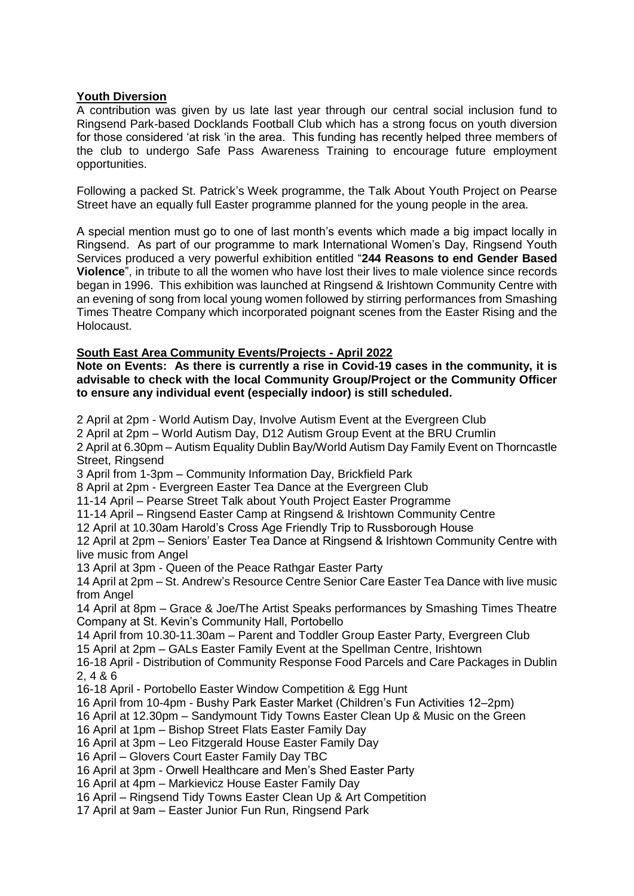### **Youth Diversion**

A contribution was given by us late last year through our central social inclusion fund to Ringsend Park-based Docklands Football Club which has a strong focus on youth diversion for those considered 'at risk 'in the area. This funding has recently helped three members of the club to undergo Safe Pass Awareness Training to encourage future employment opportunities.

Following a packed St. Patrick's Week programme, the Talk About Youth Project on Pearse Street have an equally full Easter programme planned for the young people in the area.

A special mention must go to one of last month's events which made a big impact locally in Ringsend. As part of our programme to mark International Women's Day, Ringsend Youth Services produced a very powerful exhibition entitled "**244 Reasons to end Gender Based Violence**", in tribute to all the women who have lost their lives to male violence since records began in 1996. This exhibition was launched at Ringsend & Irishtown Community Centre with an evening of song from local young women followed by stirring performances from Smashing Times Theatre Company which incorporated poignant scenes from the Easter Rising and the Holocaust.

#### **South East Area Community Events/Projects - April 2022**

**Note on Events: As there is currently a rise in Covid-19 cases in the community, it is advisable to check with the local Community Group/Project or the Community Officer to ensure any individual event (especially indoor) is still scheduled.**

2 April at 2pm - World Autism Day, Involve Autism Event at the Evergreen Club 2 April at 2pm – World Autism Day, D12 Autism Group Event at the BRU Crumlin 2 April at 6.30pm – Autism Equality Dublin Bay/World Autism Day Family Event on Thorncastle Street, Ringsend 3 April from 1-3pm – Community Information Day, Brickfield Park 8 April at 2pm - Evergreen Easter Tea Dance at the Evergreen Club 11-14 April – Pearse Street Talk about Youth Project Easter Programme 11-14 April – Ringsend Easter Camp at Ringsend & Irishtown Community Centre 12 April at 10.30am Harold's Cross Age Friendly Trip to Russborough House 12 April at 2pm – Seniors' Easter Tea Dance at Ringsend & Irishtown Community Centre with live music from Angel 13 April at 3pm - Queen of the Peace Rathgar Easter Party 14 April at 2pm – St. Andrew's Resource Centre Senior Care Easter Tea Dance with live music from Angel 14 April at 8pm – Grace & Joe/The Artist Speaks performances by Smashing Times Theatre Company at St. Kevin's Community Hall, Portobello 14 April from 10.30-11.30am – Parent and Toddler Group Easter Party, Evergreen Club 15 April at 2pm – GALs Easter Family Event at the Spellman Centre, Irishtown 16-18 April - Distribution of Community Response Food Parcels and Care Packages in Dublin 2, 4 & 6 16-18 April - Portobello Easter Window Competition & Egg Hunt 16 April from 10-4pm - Bushy Park Easter Market (Children's Fun Activities 12–2pm) 16 April at 12.30pm – Sandymount Tidy Towns Easter Clean Up & Music on the Green 16 April at 1pm – Bishop Street Flats Easter Family Day 16 April at 3pm – Leo Fitzgerald House Easter Family Day 16 April – Glovers Court Easter Family Day TBC 16 April at 3pm - Orwell Healthcare and Men's Shed Easter Party 16 April at 4pm – Markievicz House Easter Family Day 16 April – Ringsend Tidy Towns Easter Clean Up & Art Competition 17 April at 9am – Easter Junior Fun Run, Ringsend Park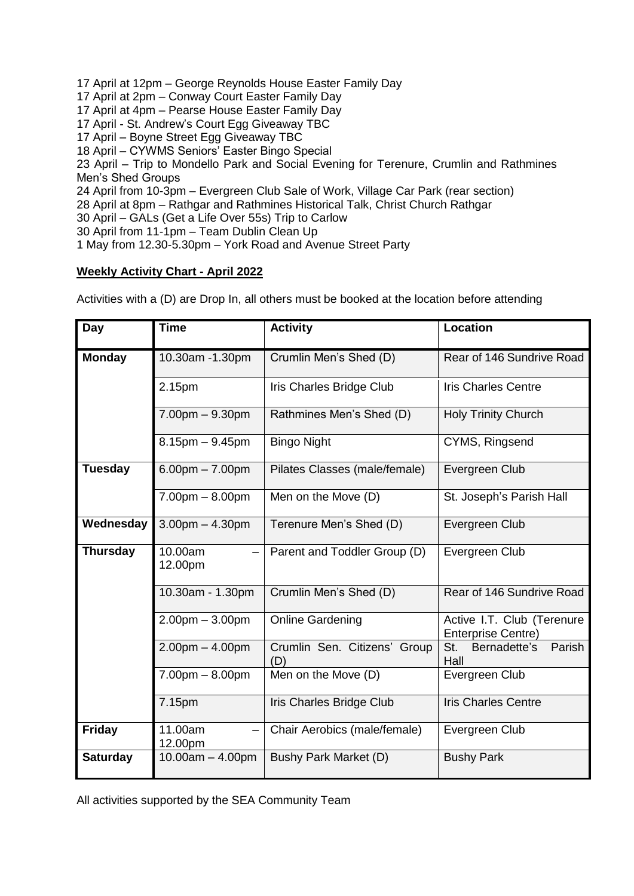17 April at 12pm – George Reynolds House Easter Family Day

17 April at 2pm – Conway Court Easter Family Day

17 April at 4pm – Pearse House Easter Family Day

17 April - St. Andrew's Court Egg Giveaway TBC

17 April – Boyne Street Egg Giveaway TBC

18 April – CYWMS Seniors' Easter Bingo Special

23 April – Trip to Mondello Park and Social Evening for Terenure, Crumlin and Rathmines Men's Shed Groups

24 April from 10-3pm – Evergreen Club Sale of Work, Village Car Park (rear section)

28 April at 8pm – Rathgar and Rathmines Historical Talk, Christ Church Rathgar

30 April – GALs (Get a Life Over 55s) Trip to Carlow

30 April from 11-1pm – Team Dublin Clean Up

1 May from 12.30-5.30pm – York Road and Avenue Street Party

## **Weekly Activity Chart - April 2022**

Activities with a (D) are Drop In, all others must be booked at the location before attending

| Day             | <b>Time</b>           | <b>Activity</b>                     | <b>Location</b>                                         |
|-----------------|-----------------------|-------------------------------------|---------------------------------------------------------|
| <b>Monday</b>   | 10.30am -1.30pm       | Crumlin Men's Shed (D)              | Rear of 146 Sundrive Road                               |
|                 | 2.15pm                | Iris Charles Bridge Club            | <b>Iris Charles Centre</b>                              |
|                 | $7.00pm - 9.30pm$     | Rathmines Men's Shed (D)            | <b>Holy Trinity Church</b>                              |
|                 | $8.15$ pm $-9.45$ pm  | <b>Bingo Night</b>                  | CYMS, Ringsend                                          |
| <b>Tuesday</b>  | $6.00pm - 7.00pm$     | Pilates Classes (male/female)       | Evergreen Club                                          |
|                 | $7.00pm - 8.00pm$     | Men on the Move (D)                 | St. Joseph's Parish Hall                                |
| Wednesday       | $3.00$ pm $- 4.30$ pm | Terenure Men's Shed (D)             | Evergreen Club                                          |
| <b>Thursday</b> | 10.00am<br>12.00pm    | Parent and Toddler Group (D)        | Evergreen Club                                          |
|                 | 10.30am - 1.30pm      | Crumlin Men's Shed (D)              | Rear of 146 Sundrive Road                               |
|                 | $2.00pm - 3.00pm$     | <b>Online Gardening</b>             | Active I.T. Club (Terenure<br><b>Enterprise Centre)</b> |
|                 | $2.00pm - 4.00pm$     | Crumlin Sen. Citizens' Group<br>(D) | Parish<br>St.<br>Bernadette's<br>Hall                   |
|                 | $7.00pm - 8.00pm$     | Men on the Move (D)                 | Evergreen Club                                          |
|                 | 7.15pm                | Iris Charles Bridge Club            | <b>Iris Charles Centre</b>                              |
| <b>Friday</b>   | 11.00am<br>12.00pm    | Chair Aerobics (male/female)        | Evergreen Club                                          |
| <b>Saturday</b> | $10.00am - 4.00pm$    | Bushy Park Market (D)               | <b>Bushy Park</b>                                       |

All activities supported by the SEA Community Team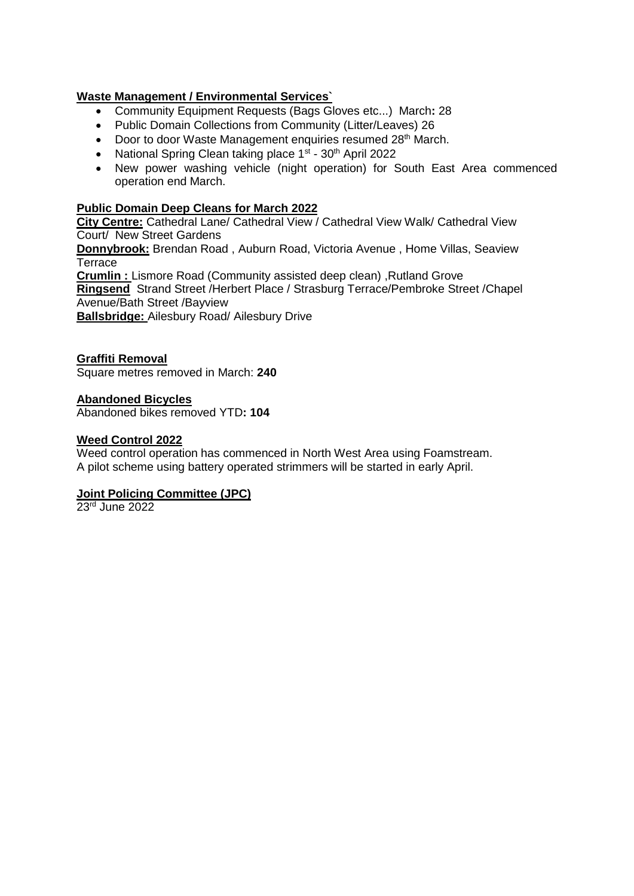## **Waste Management / Environmental Services`**

- Community Equipment Requests (Bags Gloves etc...) March**:** 28
- Public Domain Collections from Community (Litter/Leaves) 26
- Door to door Waste Management enquiries resumed 28<sup>th</sup> March.
- National Spring Clean taking place 1<sup>st</sup> 30<sup>th</sup> April 2022
- New power washing vehicle (night operation) for South East Area commenced operation end March.

## **Public Domain Deep Cleans for March 2022**

**City Centre:** Cathedral Lane/ Cathedral View / Cathedral View Walk/ Cathedral View Court/ New Street Gardens

**Donnybrook:** Brendan Road , Auburn Road, Victoria Avenue , Home Villas, Seaview **Terrace** 

**Crumlin :** Lismore Road (Community assisted deep clean) ,Rutland Grove

**Ringsend** Strand Street /Herbert Place / Strasburg Terrace/Pembroke Street /Chapel Avenue/Bath Street /Bayview

**Ballsbridge:** Ailesbury Road/ Ailesbury Drive

## **Graffiti Removal**

Square metres removed in March: **240**

#### **Abandoned Bicycles**

Abandoned bikes removed YTD**: 104**

#### **Weed Control 2022**

Weed control operation has commenced in North West Area using Foamstream. A pilot scheme using battery operated strimmers will be started in early April.

## **Joint Policing Committee (JPC)**

23<sup>rd</sup> June 2022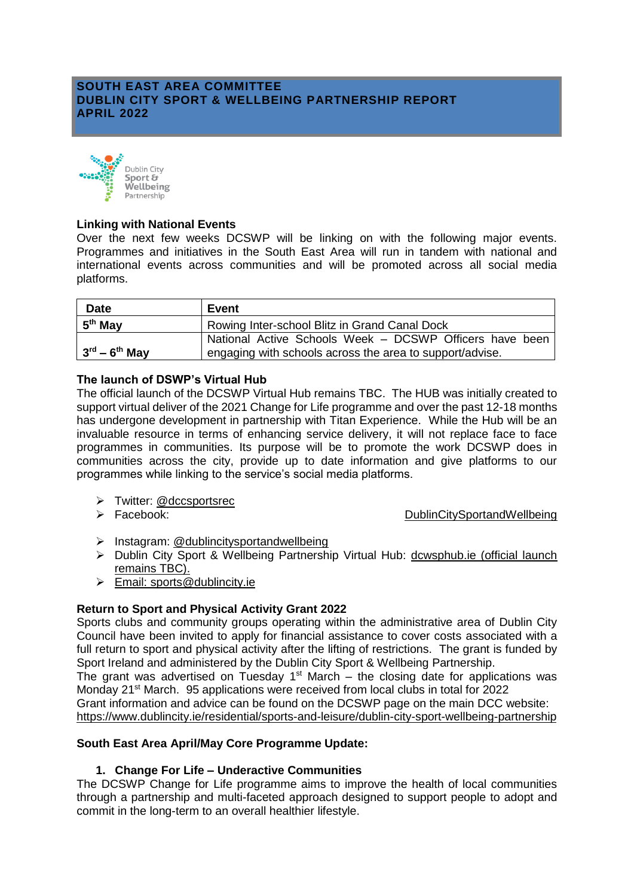## **SOUTH EAST AREA COMMITTEE DUBLIN CITY SPORT & WELLBEING PARTNERSHIP REPORT APRIL 2022**



### **Linking with National Events**

Over the next few weeks DCSWP will be linking on with the following major events. Programmes and initiatives in the South East Area will run in tandem with national and international events across communities and will be promoted across all social media platforms.

| <b>Date</b>         | Event                                                    |
|---------------------|----------------------------------------------------------|
| 5 <sup>th</sup> May | Rowing Inter-school Blitz in Grand Canal Dock            |
|                     | National Active Schools Week - DCSWP Officers have been  |
| $3rd - 6th$ May     | engaging with schools across the area to support/advise. |

## **The launch of DSWP's Virtual Hub**

The official launch of the DCSWP Virtual Hub remains TBC. The HUB was initially created to support virtual deliver of the 2021 Change for Life programme and over the past 12-18 months has undergone development in partnership with Titan Experience. While the Hub will be an invaluable resource in terms of enhancing service delivery, it will not replace face to face programmes in communities. Its purpose will be to promote the work DCSWP does in communities across the city, provide up to date information and give platforms to our programmes while linking to the service's social media platforms.

> Twitter: @dccsportsrec

Facebook: [DublinCitySportandWellbeing](https://www.facebook.com/DublinCitySportandWellbeingPartnership/)

- > Instagram: @dublincitysportandwellbeing
- Dublin City Sport & Wellbeing Partnership Virtual Hub: [dcwsphub.ie](http://www.dcswphub.ie/) (official launch remains TBC).
- $\triangleright$  Email: [sports@dublincity.ie](file://///dccdata/cande/Shared/EandC/Sport%20&%20Wellbeing%20Partnership/Communications/Area%20Committee%20Reports/Reporting%202022/South%20East%20Area/sports@dublincity.ie)

## **Return to Sport and Physical Activity Grant 2022**

Sports clubs and community groups operating within the administrative area of Dublin City Council have been invited to apply for financial assistance to cover costs associated with a full return to sport and physical activity after the lifting of restrictions. The grant is funded by Sport Ireland and administered by the Dublin City Sport & Wellbeing Partnership.

The grant was advertised on Tuesday  $1<sup>st</sup>$  March – the closing date for applications was Monday 21st March. 95 applications were received from local clubs in total for 2022

Grant information and advice can be found on the DCSWP page on the main DCC website: <https://www.dublincity.ie/residential/sports-and-leisure/dublin-city-sport-wellbeing-partnership>

## **South East Area April/May Core Programme Update:**

## **1. Change For Life – Underactive Communities**

The DCSWP Change for Life programme aims to improve the health of local communities through a partnership and multi-faceted approach designed to support people to adopt and commit in the long-term to an overall healthier lifestyle.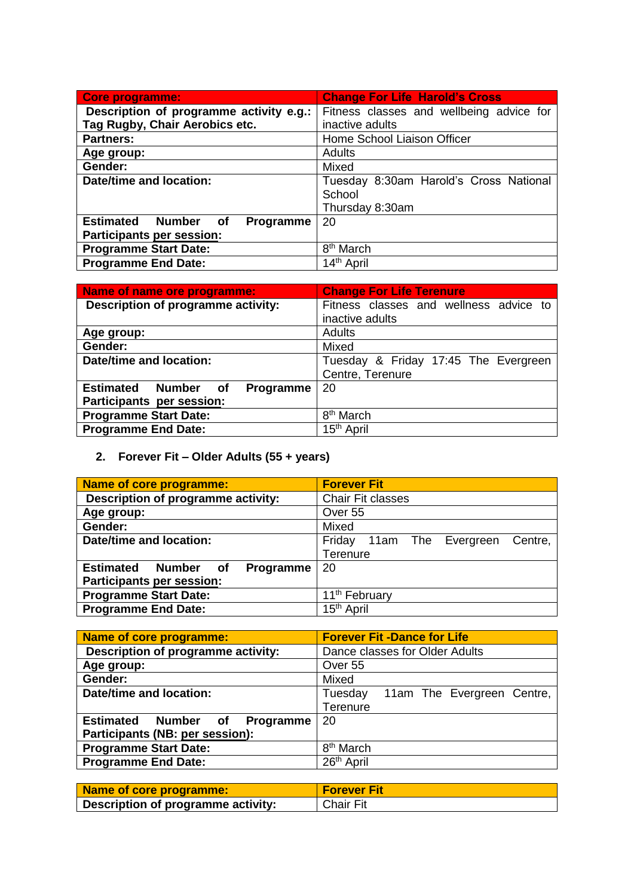| Core programme:                         | <b>Change For Life Harold's Cross</b>    |
|-----------------------------------------|------------------------------------------|
| Description of programme activity e.g.: | Fitness classes and wellbeing advice for |
| Tag Rugby, Chair Aerobics etc.          | inactive adults                          |
| <b>Partners:</b>                        | Home School Liaison Officer              |
| Age group:                              | <b>Adults</b>                            |
| Gender:                                 | Mixed                                    |
| Date/time and location:                 | Tuesday 8:30am Harold's Cross National   |
|                                         | School                                   |
|                                         | Thursday 8:30am                          |
| Estimated Number of<br><b>Programme</b> | 20                                       |
| Participants per session:               |                                          |
| <b>Programme Start Date:</b>            | 8 <sup>th</sup> March                    |
| <b>Programme End Date:</b>              | 14 <sup>th</sup> April                   |

| Name of name ore programme:             | <b>Change For Life Terenure</b>        |
|-----------------------------------------|----------------------------------------|
| Description of programme activity:      | Fitness classes and wellness advice to |
|                                         | inactive adults                        |
| Age group:                              | <b>Adults</b>                          |
| Gender:                                 | Mixed                                  |
| <b>Date/time and location:</b>          | Tuesday & Friday 17:45 The Evergreen   |
|                                         | Centre, Terenure                       |
| <b>Estimated Number of</b><br>Programme | 20                                     |
| Participants per session:               |                                        |
| <b>Programme Start Date:</b>            | 8 <sup>th</sup> March                  |
| <b>Programme End Date:</b>              | 15 <sup>th</sup> April                 |

# **2. Forever Fit – Older Adults (55 + years)**

| Name of core programme:                              | <b>Forever Fit</b>                   |
|------------------------------------------------------|--------------------------------------|
| Description of programme activity:                   | Chair Fit classes                    |
| Age group:                                           | Over 55                              |
| Gender:                                              | Mixed                                |
| Date/time and location:                              | Friday 11am The Evergreen<br>Centre, |
|                                                      | Terenure                             |
| <b>Estimated</b><br><b>Number</b><br>Programme<br>of | 20                                   |
| Participants per session:                            |                                      |
| <b>Programme Start Date:</b>                         | 11 <sup>th</sup> February            |
| <b>Programme End Date:</b>                           | 15 <sup>th</sup> April               |

| <b>Forever Fit -Dance for Life</b>    |
|---------------------------------------|
| Dance classes for Older Adults        |
| Over 55                               |
| Mixed                                 |
| Tuesday<br>11am The Evergreen Centre, |
| Terenure                              |
| 20                                    |
|                                       |
| 8 <sup>th</sup> March                 |
| 26 <sup>th</sup> April                |
|                                       |

| Name of core programme:            | <b>Forever Fit</b> |
|------------------------------------|--------------------|
| Description of programme activity: | Chair Fit          |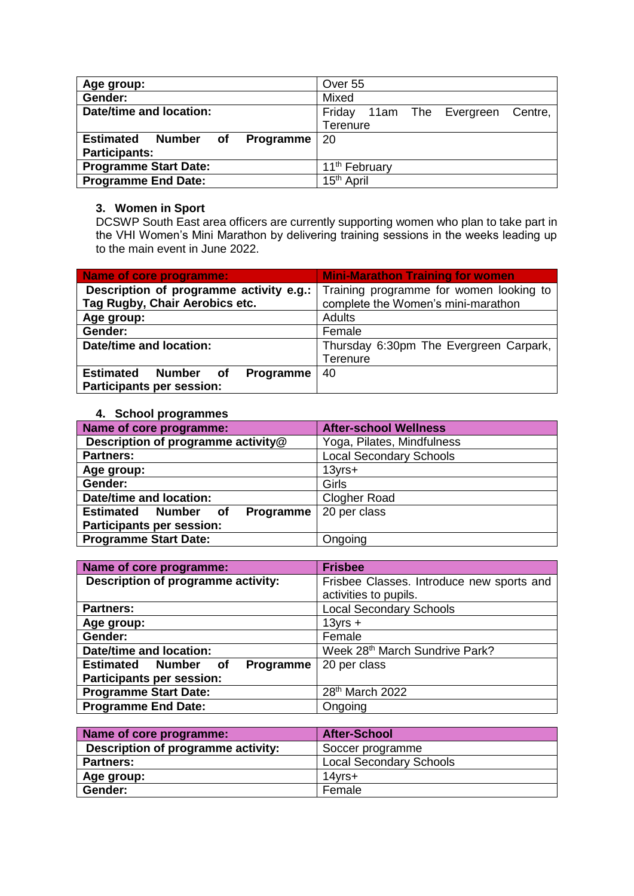| Age group:                                           | Over 55                                 |
|------------------------------------------------------|-----------------------------------------|
| Gender:                                              | Mixed                                   |
| Date/time and location:                              | Friday<br>11am The Evergreen<br>Centre, |
|                                                      | Terenure                                |
| <b>Estimated</b><br>Number<br>of<br><b>Programme</b> | 20                                      |
| <b>Participants:</b>                                 |                                         |
| <b>Programme Start Date:</b>                         | 11 <sup>th</sup> February               |
| <b>Programme End Date:</b>                           | 15 <sup>th</sup> April                  |

#### **3. Women in Sport**

DCSWP South East area officers are currently supporting women who plan to take part in the VHI Women's Mini Marathon by delivering training sessions in the weeks leading up to the main event in June 2022.

| Name of core programme:                              | <b>Mini-Marathon Training for women</b> |
|------------------------------------------------------|-----------------------------------------|
| Description of programme activity e.g.:              | Training programme for women looking to |
| Tag Rugby, Chair Aerobics etc.                       | complete the Women's mini-marathon      |
| Age group:                                           | <b>Adults</b>                           |
| Gender:                                              | Female                                  |
| Date/time and location:                              | Thursday 6:30pm The Evergreen Carpark,  |
|                                                      | Terenure                                |
| <b>Estimated</b><br>Programme<br><b>Number</b><br>of | 40                                      |
| <b>Participants per session:</b>                     |                                         |

## **4. School programmes**

| Name of core programme:                    | <b>After-school Wellness</b>   |
|--------------------------------------------|--------------------------------|
| Description of programme activity@         | Yoga, Pilates, Mindfulness     |
| <b>Partners:</b>                           | <b>Local Secondary Schools</b> |
| Age group:                                 | $13$ yrs $+$                   |
| Gender:                                    | Girls                          |
| <b>Date/time and location:</b>             | <b>Clogher Road</b>            |
| <b>Estimated Number</b><br>Programme<br>of | 20 per class                   |
| <b>Participants per session:</b>           |                                |
| <b>Programme Start Date:</b>               | Ongoing                        |

| Name of core programme:                 | <b>Frisbee</b>                            |
|-----------------------------------------|-------------------------------------------|
| Description of programme activity:      | Frisbee Classes. Introduce new sports and |
|                                         | activities to pupils.                     |
| <b>Partners:</b>                        | <b>Local Secondary Schools</b>            |
| Age group:                              | $13yrs +$                                 |
| Gender:                                 | Female                                    |
| <b>Date/time and location:</b>          | Week 28th March Sundrive Park?            |
| <b>Estimated Number of</b><br>Programme | 20 per class                              |
| <b>Participants per session:</b>        |                                           |
| <b>Programme Start Date:</b>            | 28 <sup>th</sup> March 2022               |
| <b>Programme End Date:</b>              | Ongoing                                   |

| Name of core programme:            | <b>After-School</b>            |
|------------------------------------|--------------------------------|
| Description of programme activity: | Soccer programme               |
| <b>Partners:</b>                   | <b>Local Secondary Schools</b> |
| Age group:                         | $14$ vrs $+$                   |
| Gender:                            | Female                         |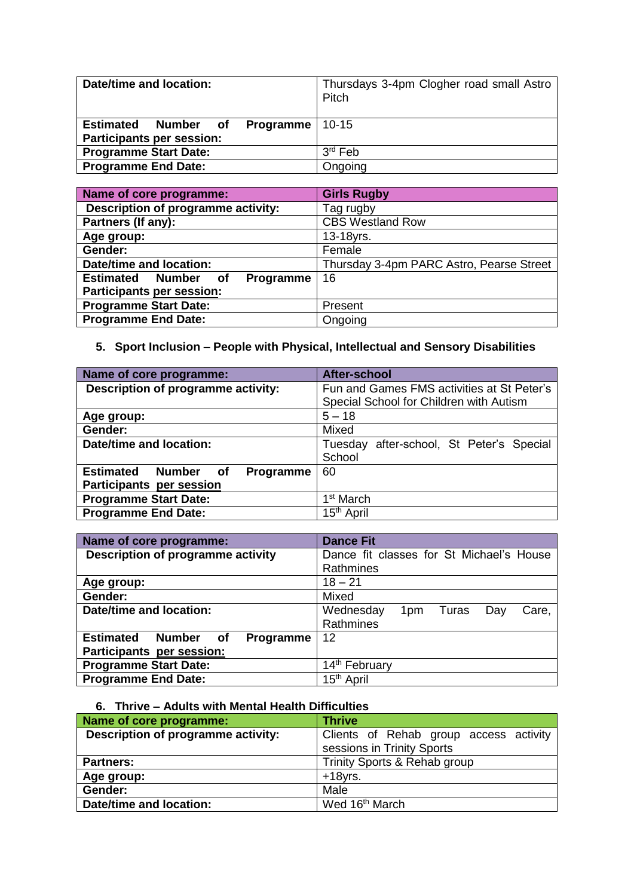| Date/time and location:                    | Thursdays 3-4pm Clogher road small Astro<br>Pitch |
|--------------------------------------------|---------------------------------------------------|
| <b>Estimated Number of Programme</b> 10-15 |                                                   |
| <b>Participants per session:</b>           |                                                   |
| <b>Programme Start Date:</b>               | 3 <sup>rd</sup> Feb                               |
| <b>Programme End Date:</b>                 | Ongoing                                           |

| Name of core programme:                    | <b>Girls Rugby</b>                       |
|--------------------------------------------|------------------------------------------|
| Description of programme activity:         | Tag rugby                                |
| Partners (If any):                         | <b>CBS Westland Row</b>                  |
| Age group:                                 | 13-18yrs.                                |
| Gender:                                    | Female                                   |
| Date/time and location:                    | Thursday 3-4pm PARC Astro, Pearse Street |
| <b>Estimated Number</b><br>Programme<br>of | 16                                       |
| Participants per session:                  |                                          |
| <b>Programme Start Date:</b>               | Present                                  |
| <b>Programme End Date:</b>                 | Ongoing                                  |

# **5. Sport Inclusion – People with Physical, Intellectual and Sensory Disabilities**

| Name of core programme:                              | After-school                                |
|------------------------------------------------------|---------------------------------------------|
| Description of programme activity:                   | Fun and Games FMS activities at St Peter's  |
|                                                      | Special School for Children with Autism     |
| Age group:                                           | $5 - 18$                                    |
| Gender:                                              | Mixed                                       |
| Date/time and location:                              | after-school, St Peter's Special<br>Tuesday |
|                                                      | School                                      |
| <b>Estimated</b><br><b>Number</b><br>Programme<br>of | 60                                          |
| Participants per session                             |                                             |
| <b>Programme Start Date:</b>                         | 1 <sup>st</sup> March                       |
| <b>Programme End Date:</b>                           | 15 <sup>th</sup> April                      |

| Name of core programme:                                     | <b>Dance Fit</b>                          |
|-------------------------------------------------------------|-------------------------------------------|
| Description of programme activity                           | Dance fit classes for St Michael's House  |
|                                                             | Rathmines                                 |
| Age group:                                                  | $18 - 21$                                 |
| Gender:                                                     | Mixed                                     |
| Date/time and location:                                     | Wednesday<br>1pm<br>Turas<br>Day<br>Care, |
|                                                             | Rathmines                                 |
| <b>Estimated</b><br><b>Number</b><br><b>Programme</b><br>of | 12                                        |
| Participants per session:                                   |                                           |
| <b>Programme Start Date:</b>                                | 14 <sup>th</sup> February                 |
| <b>Programme End Date:</b>                                  | 15 <sup>th</sup> April                    |

# **6. Thrive – Adults with Mental Health Difficulties**

| Name of core programme:            | <b>Thrive</b>                          |
|------------------------------------|----------------------------------------|
| Description of programme activity: | Clients of Rehab group access activity |
|                                    | sessions in Trinity Sports             |
| <b>Partners:</b>                   | Trinity Sports & Rehab group           |
| Age group:                         | $+18$ yrs.                             |
| Gender:                            | Male                                   |
| Date/time and location:            | Wed 16 <sup>th</sup> March             |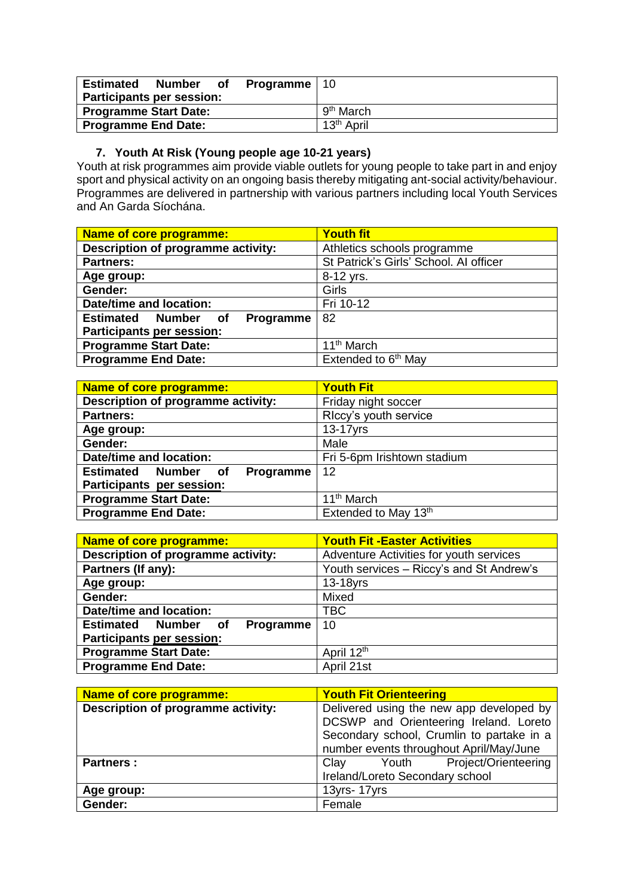| <b>Estimated</b>                 |  | <b>Number</b> of <b>Programme</b>   10 |                        |
|----------------------------------|--|----------------------------------------|------------------------|
| <b>Participants per session:</b> |  |                                        |                        |
| <b>Programme Start Date:</b>     |  |                                        | 9 <sup>th</sup> March  |
| <b>Programme End Date:</b>       |  |                                        | 13 <sup>th</sup> April |

## **7. Youth At Risk (Young people age 10-21 years)**

Youth at risk programmes aim provide viable outlets for young people to take part in and enjoy sport and physical activity on an ongoing basis thereby mitigating ant-social activity/behaviour. Programmes are delivered in partnership with various partners including local Youth Services and An Garda Síochána.

| Name of core programme:                    | <b>Youth fit</b>                       |
|--------------------------------------------|----------------------------------------|
| Description of programme activity:         | Athletics schools programme            |
| <b>Partners:</b>                           | St Patrick's Girls' School. Al officer |
| Age group:                                 | 8-12 yrs.                              |
| Gender:                                    | Girls                                  |
| Date/time and location:                    | Fri 10-12                              |
| <b>Estimated Number</b><br>Programme<br>of | 82                                     |
| Participants per session:                  |                                        |
| <b>Programme Start Date:</b>               | 11 <sup>th</sup> March                 |
| <b>Programme End Date:</b>                 | Extended to 6 <sup>th</sup> May        |

| <b>Name of core programme:</b>             | <b>Youth Fit</b>            |
|--------------------------------------------|-----------------------------|
| Description of programme activity:         | Friday night soccer         |
| <b>Partners:</b>                           | RIccy's youth service       |
| Age group:                                 | 13-17yrs                    |
| Gender:                                    | Male                        |
| <b>Date/time and location:</b>             | Fri 5-6pm Irishtown stadium |
| <b>Estimated Number</b><br>Programme<br>of | 12                          |
| Participants per session:                  |                             |
| <b>Programme Start Date:</b>               | 11 <sup>th</sup> March      |
| <b>Programme End Date:</b>                 | Extended to May 13th        |

| <b>Name of core programme:</b>             | <b>Youth Fit - Easter Activities</b>     |
|--------------------------------------------|------------------------------------------|
| Description of programme activity:         | Adventure Activities for youth services  |
| Partners (If any):                         | Youth services - Riccy's and St Andrew's |
| Age group:                                 | 13-18yrs                                 |
| Gender:                                    | Mixed                                    |
| Date/time and location:                    | TBC                                      |
| <b>Estimated Number</b><br>Programme<br>of | 10                                       |
| <b>Participants per session:</b>           |                                          |
| <b>Programme Start Date:</b>               | April 12 <sup>th</sup>                   |
| <b>Programme End Date:</b>                 | April 21st                               |

| Name of core programme:            | <b>Youth Fit Orienteering</b>             |
|------------------------------------|-------------------------------------------|
| Description of programme activity: | Delivered using the new app developed by  |
|                                    | DCSWP and Orienteering Ireland. Loreto    |
|                                    | Secondary school, Crumlin to partake in a |
|                                    | number events throughout April/May/June   |
| <b>Partners:</b>                   | Project/Orienteering<br>Clay<br>Youth     |
|                                    | Ireland/Loreto Secondary school           |
| Age group:                         | 13yrs-17yrs                               |
| Gender:                            | Female                                    |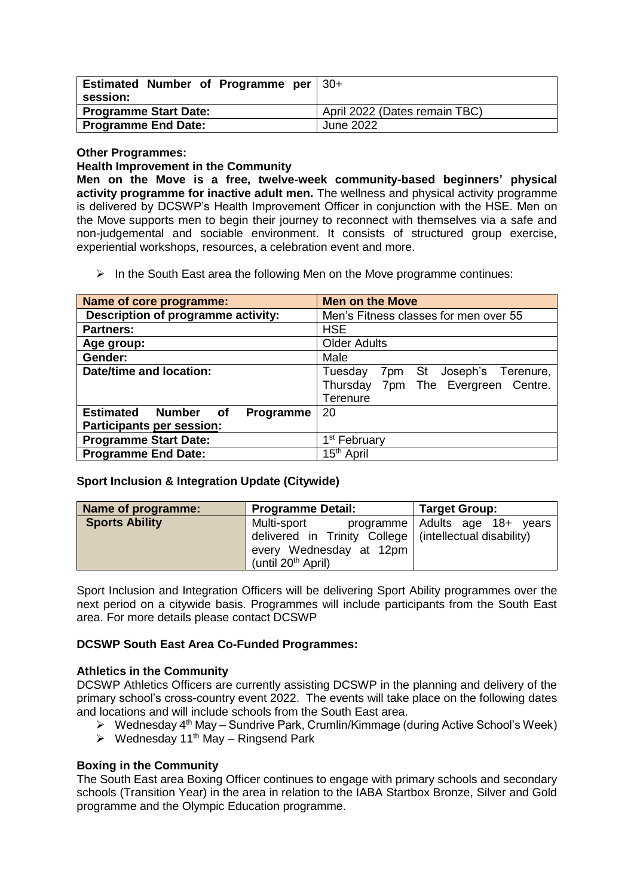| Estimated Number of Programme per   30+ |                               |
|-----------------------------------------|-------------------------------|
| session:                                |                               |
| <b>Programme Start Date:</b>            | April 2022 (Dates remain TBC) |
| <b>Programme End Date:</b>              | June 2022                     |

#### **Other Programmes:**

#### **Health Improvement in the Community**

**Men on the Move is a free, twelve-week community-based beginners' physical activity programme for inactive adult men.** The wellness and physical activity programme is delivered by DCSWP's Health Improvement Officer in conjunction with the HSE. Men on the Move supports men to begin their journey to reconnect with themselves via a safe and non-judgemental and sociable environment. It consists of structured group exercise, experiential workshops, resources, a celebration event and more.

 $\triangleright$  In the South East area the following Men on the Move programme continues:

| <b>Name of core programme:</b>                       | <b>Men on the Move</b>                |
|------------------------------------------------------|---------------------------------------|
| Description of programme activity:                   | Men's Fitness classes for men over 55 |
| <b>Partners:</b>                                     | <b>HSE</b>                            |
| Age group:                                           | <b>Older Adults</b>                   |
| Gender:                                              | Male                                  |
| <b>Date/time and location:</b>                       | 7pm St Joseph's Terenure,<br>Tuesday  |
|                                                      | Thursday 7pm The Evergreen Centre.    |
|                                                      | Terenure                              |
| <b>Number</b><br><b>Estimated</b><br>Programme<br>of | 20                                    |
| <b>Participants per session:</b>                     |                                       |
| <b>Programme Start Date:</b>                         | 1 <sup>st</sup> February              |
| <b>Programme End Date:</b>                           | 15 <sup>th</sup> April                |

## **Sport Inclusion & Integration Update (Citywide)**

| Name of programme:    | <b>Programme Detail:</b>                                 | <b>Target Group:</b>           |
|-----------------------|----------------------------------------------------------|--------------------------------|
| <b>Sports Ability</b> | Multi-sport                                              | programme Adults age 18+ years |
|                       | delivered in Trinity College   (intellectual disability) |                                |
|                       | every Wednesday at 12pm                                  |                                |
|                       | (until 20 <sup>th</sup> April)                           |                                |

Sport Inclusion and Integration Officers will be delivering Sport Ability programmes over the next period on a citywide basis. Programmes will include participants from the South East area. For more details please contact DCSWP

## **DCSWP South East Area Co-Funded Programmes:**

## **Athletics in the Community**

DCSWP Athletics Officers are currently assisting DCSWP in the planning and delivery of the primary school's cross-country event 2022. The events will take place on the following dates and locations and will include schools from the South East area.

- $\triangleright$  Wednesday 4<sup>th</sup> May Sundrive Park, Crumlin/Kimmage (during Active School's Week)
- $\triangleright$  Wednesday 11<sup>th</sup> May Ringsend Park

## **Boxing in the Community**

The South East area Boxing Officer continues to engage with primary schools and secondary schools (Transition Year) in the area in relation to the IABA Startbox Bronze, Silver and Gold programme and the Olympic Education programme.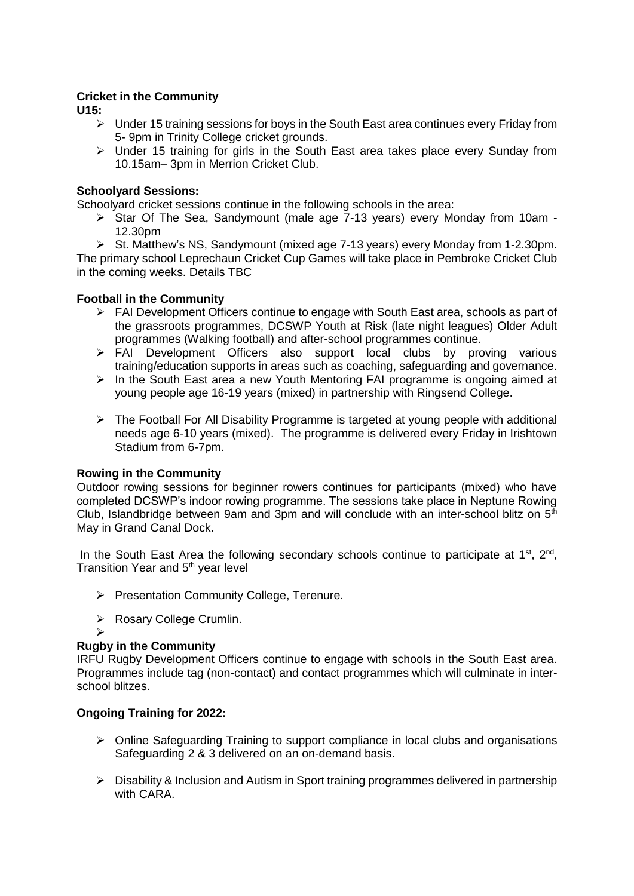## **Cricket in the Community**

**U15:**

- $\triangleright$  Under 15 training sessions for boys in the South East area continues every Friday from 5- 9pm in Trinity College cricket grounds.
- $\triangleright$  Under 15 training for girls in the South East area takes place every Sunday from 10.15am– 3pm in Merrion Cricket Club.

## **Schoolyard Sessions:**

Schoolyard cricket sessions continue in the following schools in the area:

Star Of The Sea, Sandymount (male age 7-13 years) every Monday from 10am -12.30pm

 $\triangleright$  St. Matthew's NS, Sandymount (mixed age 7-13 years) every Monday from 1-2.30pm. The primary school Leprechaun Cricket Cup Games will take place in Pembroke Cricket Club in the coming weeks. Details TBC

## **Football in the Community**

- FAI Development Officers continue to engage with South East area, schools as part of the grassroots programmes, DCSWP Youth at Risk (late night leagues) Older Adult programmes (Walking football) and after-school programmes continue.
- > FAI Development Officers also support local clubs by proving various training/education supports in areas such as coaching, safeguarding and governance.
- $\triangleright$  In the South East area a new Youth Mentoring FAI programme is ongoing aimed at young people age 16-19 years (mixed) in partnership with Ringsend College.
- $\triangleright$  The Football For All Disability Programme is targeted at young people with additional needs age 6-10 years (mixed). The programme is delivered every Friday in Irishtown Stadium from 6-7pm.

## **Rowing in the Community**

Outdoor rowing sessions for beginner rowers continues for participants (mixed) who have completed DCSWP's indoor rowing programme. The sessions take place in Neptune Rowing Club, Islandbridge between 9am and 3pm and will conclude with an inter-school blitz on  $5<sup>th</sup>$ May in Grand Canal Dock.

In the South East Area the following secondary schools continue to participate at 1<sup>st</sup>, 2<sup>nd</sup>, Transition Year and 5<sup>th</sup> year level

- Presentation Community College, Terenure.
- ▶ Rosary College Crumlin.

#### $\blacktriangleright$ **Rugby in the Community**

IRFU Rugby Development Officers continue to engage with schools in the South East area. Programmes include tag (non-contact) and contact programmes which will culminate in interschool blitzes.

## **Ongoing Training for 2022:**

- $\triangleright$  Online Safeguarding Training to support compliance in local clubs and organisations Safeguarding 2 & 3 delivered on an on-demand basis.
- $\triangleright$  Disability & Inclusion and Autism in Sport training programmes delivered in partnership with CARA.